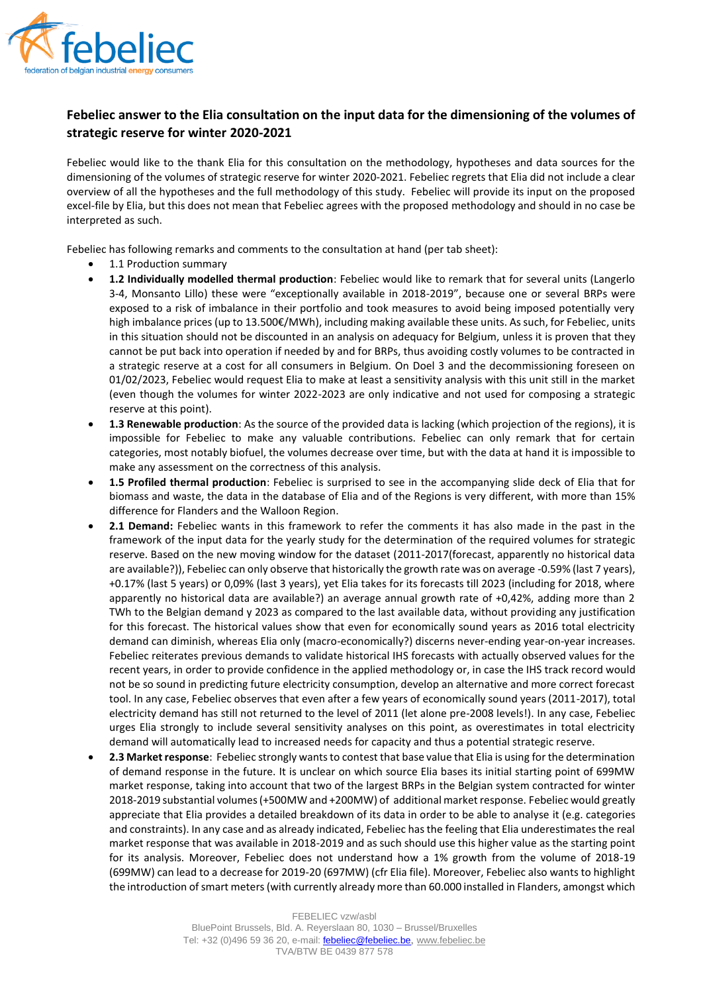

## **Febeliec answer to the Elia consultation on the input data for the dimensioning of the volumes of strategic reserve for winter 2020-2021**

Febeliec would like to the thank Elia for this consultation on the methodology, hypotheses and data sources for the dimensioning of the volumes of strategic reserve for winter 2020-2021. Febeliec regrets that Elia did not include a clear overview of all the hypotheses and the full methodology of this study. Febeliec will provide its input on the proposed excel-file by Elia, but this does not mean that Febeliec agrees with the proposed methodology and should in no case be interpreted as such.

Febeliec has following remarks and comments to the consultation at hand (per tab sheet):

- 1.1 Production summary
- **1.2 Individually modelled thermal production**: Febeliec would like to remark that for several units (Langerlo 3-4, Monsanto Lillo) these were "exceptionally available in 2018-2019", because one or several BRPs were exposed to a risk of imbalance in their portfolio and took measures to avoid being imposed potentially very high imbalance prices (up to 13.500€/MWh), including making available these units. As such, for Febeliec, units in this situation should not be discounted in an analysis on adequacy for Belgium, unless it is proven that they cannot be put back into operation if needed by and for BRPs, thus avoiding costly volumes to be contracted in a strategic reserve at a cost for all consumers in Belgium. On Doel 3 and the decommissioning foreseen on 01/02/2023, Febeliec would request Elia to make at least a sensitivity analysis with this unit still in the market (even though the volumes for winter 2022-2023 are only indicative and not used for composing a strategic reserve at this point).
- **1.3 Renewable production**: As the source of the provided data is lacking (which projection of the regions), it is impossible for Febeliec to make any valuable contributions. Febeliec can only remark that for certain categories, most notably biofuel, the volumes decrease over time, but with the data at hand it is impossible to make any assessment on the correctness of this analysis.
- **1.5 Profiled thermal production**: Febeliec is surprised to see in the accompanying slide deck of Elia that for biomass and waste, the data in the database of Elia and of the Regions is very different, with more than 15% difference for Flanders and the Walloon Region.
- **2.1 Demand:** Febeliec wants in this framework to refer the comments it has also made in the past in the framework of the input data for the yearly study for the determination of the required volumes for strategic reserve. Based on the new moving window for the dataset (2011-2017(forecast, apparently no historical data are available?)), Febeliec can only observe that historically the growth rate was on average -0.59% (last 7 years), +0.17% (last 5 years) or 0,09% (last 3 years), yet Elia takes for its forecasts till 2023 (including for 2018, where apparently no historical data are available?) an average annual growth rate of +0,42%, adding more than 2 TWh to the Belgian demand y 2023 as compared to the last available data, without providing any justification for this forecast. The historical values show that even for economically sound years as 2016 total electricity demand can diminish, whereas Elia only (macro-economically?) discerns never-ending year-on-year increases. Febeliec reiterates previous demands to validate historical IHS forecasts with actually observed values for the recent years, in order to provide confidence in the applied methodology or, in case the IHS track record would not be so sound in predicting future electricity consumption, develop an alternative and more correct forecast tool. In any case, Febeliec observes that even after a few years of economically sound years (2011-2017), total electricity demand has still not returned to the level of 2011 (let alone pre-2008 levels!). In any case, Febeliec urges Elia strongly to include several sensitivity analyses on this point, as overestimates in total electricity demand will automatically lead to increased needs for capacity and thus a potential strategic reserve.
- **2.3 Market response**: Febeliec strongly wants to contest that base value that Elia is using for the determination of demand response in the future. It is unclear on which source Elia bases its initial starting point of 699MW market response, taking into account that two of the largest BRPs in the Belgian system contracted for winter 2018-2019 substantial volumes (+500MW and +200MW) of additional market response. Febeliec would greatly appreciate that Elia provides a detailed breakdown of its data in order to be able to analyse it (e.g. categories and constraints). In any case and as already indicated, Febeliec has the feeling that Elia underestimates the real market response that was available in 2018-2019 and as such should use this higher value as the starting point for its analysis. Moreover, Febeliec does not understand how a 1% growth from the volume of 2018-19 (699MW) can lead to a decrease for 2019-20 (697MW) (cfr Elia file). Moreover, Febeliec also wants to highlight the introduction of smart meters (with currently already more than 60.000 installed in Flanders, amongst which